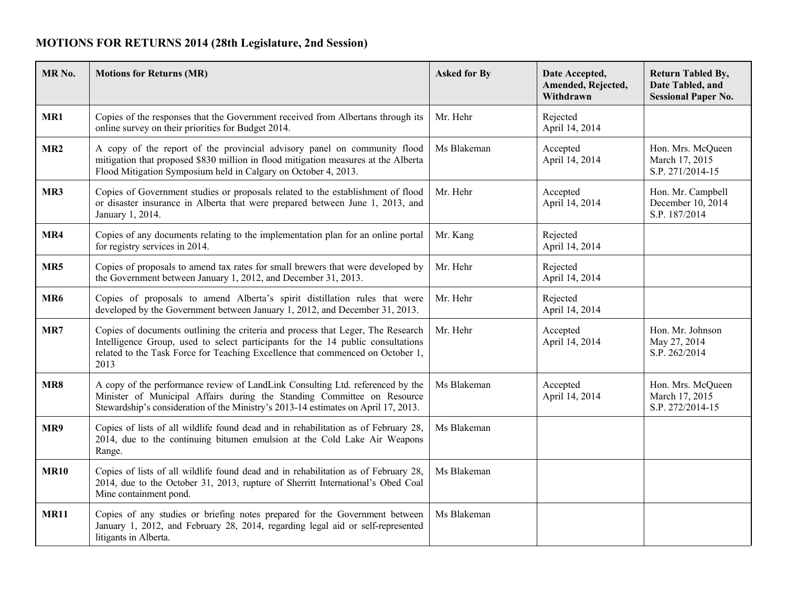## **MOTIONS FOR RETURNS 2014 (28th Legislature, 2nd Session)**

| MR <sub>No.</sub> | <b>Motions for Returns (MR)</b>                                                                                                                                                                                                                              | <b>Asked for By</b> | Date Accepted,<br>Amended, Rejected,<br>Withdrawn | <b>Return Tabled By,</b><br>Date Tabled, and<br><b>Sessional Paper No.</b> |
|-------------------|--------------------------------------------------------------------------------------------------------------------------------------------------------------------------------------------------------------------------------------------------------------|---------------------|---------------------------------------------------|----------------------------------------------------------------------------|
| MR1               | Copies of the responses that the Government received from Albertans through its<br>online survey on their priorities for Budget 2014.                                                                                                                        | Mr. Hehr            | Rejected<br>April 14, 2014                        |                                                                            |
| MR <sub>2</sub>   | A copy of the report of the provincial advisory panel on community flood<br>mitigation that proposed \$830 million in flood mitigation measures at the Alberta<br>Flood Mitigation Symposium held in Calgary on October 4, 2013.                             | Ms Blakeman         | Accepted<br>April 14, 2014                        | Hon. Mrs. McQueen<br>March 17, 2015<br>S.P. 271/2014-15                    |
| MR3               | Copies of Government studies or proposals related to the establishment of flood<br>or disaster insurance in Alberta that were prepared between June 1, 2013, and<br>January 1, 2014.                                                                         | Mr. Hehr            | Accepted<br>April 14, 2014                        | Hon. Mr. Campbell<br>December 10, 2014<br>S.P. 187/2014                    |
| MR4               | Copies of any documents relating to the implementation plan for an online portal<br>for registry services in 2014.                                                                                                                                           | Mr. Kang            | Rejected<br>April 14, 2014                        |                                                                            |
| MR5               | Copies of proposals to amend tax rates for small brewers that were developed by<br>the Government between January 1, 2012, and December 31, 2013.                                                                                                            | Mr. Hehr            | Rejected<br>April 14, 2014                        |                                                                            |
| MR <sub>6</sub>   | Copies of proposals to amend Alberta's spirit distillation rules that were<br>developed by the Government between January 1, 2012, and December 31, 2013.                                                                                                    | Mr. Hehr            | Rejected<br>April 14, 2014                        |                                                                            |
| MR7               | Copies of documents outlining the criteria and process that Leger, The Research<br>Intelligence Group, used to select participants for the 14 public consultations<br>related to the Task Force for Teaching Excellence that commenced on October 1,<br>2013 | Mr. Hehr            | Accepted<br>April 14, 2014                        | Hon. Mr. Johnson<br>May 27, 2014<br>S.P. 262/2014                          |
| MR8               | A copy of the performance review of LandLink Consulting Ltd. referenced by the<br>Minister of Municipal Affairs during the Standing Committee on Resource<br>Stewardship's consideration of the Ministry's 2013-14 estimates on April 17, 2013.              | Ms Blakeman         | Accepted<br>April 14, 2014                        | Hon. Mrs. McQueen<br>March 17, 2015<br>S.P. 272/2014-15                    |
| MR9               | Copies of lists of all wildlife found dead and in rehabilitation as of February 28,<br>2014, due to the continuing bitumen emulsion at the Cold Lake Air Weapons<br>Range.                                                                                   | Ms Blakeman         |                                                   |                                                                            |
| <b>MR10</b>       | Copies of lists of all wildlife found dead and in rehabilitation as of February 28,<br>2014, due to the October 31, 2013, rupture of Sherritt International's Obed Coal<br>Mine containment pond.                                                            | Ms Blakeman         |                                                   |                                                                            |
| <b>MR11</b>       | Copies of any studies or briefing notes prepared for the Government between<br>January 1, 2012, and February 28, 2014, regarding legal aid or self-represented<br>litigants in Alberta.                                                                      | Ms Blakeman         |                                                   |                                                                            |